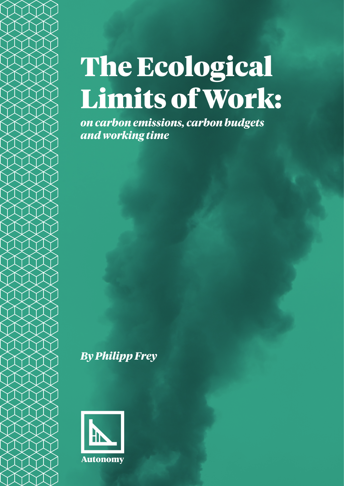# The Ecological Limits of Work:

*on carbon emissions, carbon budgets and working time*

*By Philipp Frey*

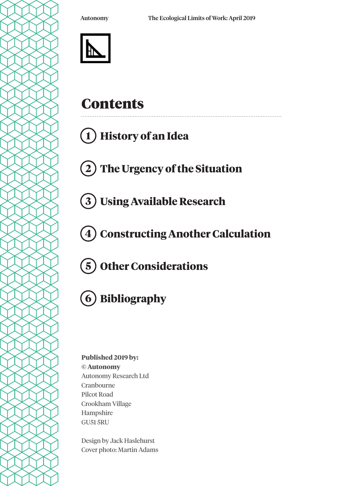

# **Contents**

# **1 History of an Idea**

**2 The Urgency of the Situation**

**3 Using Available Research**

**4 Constructing Another Calculation**

**Other Considerations 5**



### **Published 2019 by: © Autonomy** Autonomy Research Ltd Cranbourne Pilcot Road Crookham Village Hampshire GU51 5RU

Design by Jack Haslehurst Cover photo: Martin Adams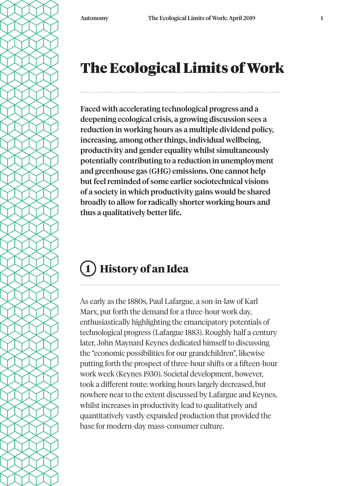# The Ecological Limits of Work

Faced with accelerating technological progress and a deepening ecological crisis, a growing discussion sees a reduction in working hours as a multiple dividend policy, increasing, among other things, individual wellbeing, productivity and gender equality whilst simultaneously potentially contributing to a reduction in unemployment and greenhouse gas (GHG) emissions. One cannot help but feel reminded of some earlier sociotechnical visions of a society in which productivity gains would be shared broadly to allow for radically shorter working hours and thus a qualitatively better life.

# **1 History of an Idea**

As early as the 1880s, Paul Lafargue, a son-in-law of Karl Marx, put forth the demand for a three-hour work day, enthusiastically highlighting the emancipatory potentials of technological progress (Lafargue 1883). Roughly half a century later, John Maynard Keynes dedicated himself to discussing the "economic possibilities for our grandchildren", likewise putting forth the prospect of three-hour shifts or a fifteen-hour work week (Keynes 1930). Societal development, however, took a different route: working hours largely decreased, but nowhere near to the extent discussed by Lafargue and Keynes, whilst increases in productivity lead to qualitatively and quantitatively vastly expanded production that provided the base for modern-day mass-consumer culture.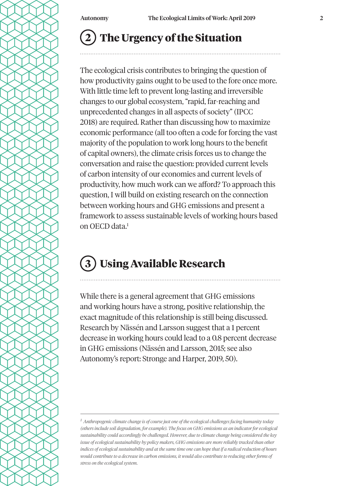### **The Urgency of the Situation 2**

The ecological crisis contributes to bringing the question of how productivity gains ought to be used to the fore once more. With little time left to prevent long-lasting and irreversible changes to our global ecosystem, "rapid, far-reaching and unprecedented changes in all aspects of society" (IPCC 2018) are required. Rather than discussing how to maximize economic performance (all too often a code for forcing the vast majority of the population to work long hours to the benefit of capital owners), the climate crisis forces us to change the conversation and raise the question: provided current levels of carbon intensity of our economies and current levels of productivity, how much work can we afford? To approach this question, I will build on existing research on the connection between working hours and GHG emissions and present a framework to assess sustainable levels of working hours based on OECD data.1

### **Using Available Research 3**

While there is a general agreement that GHG emissions and working hours have a strong, positive relationship, the exact magnitude of this relationship is still being discussed. Research by Nässén and Larsson suggest that a 1 percent decrease in working hours could lead to a 0.8 percent decrease in GHG emissions (Nässén and Larsson, 2015; see also Autonomy's report: Stronge and Harper, 2019, 50).

*<sup>1</sup> Anthropogenic climate change is of course just one of the ecological challenges facing humanity today (others include soil degradation, for example). The focus on GHG emissions as an indicator for ecological sustainability could accordingly be challenged. However, due to climate change being considered the key issue of ecological sustainability by policy makers, GHG emissions are more reliably tracked than other indices of ecological sustainability and at the same time one can hope that if a radical reduction of hours would contribute to a decrease in carbon emissions, it would also contribute to reducing other forms of stress on the ecological system.*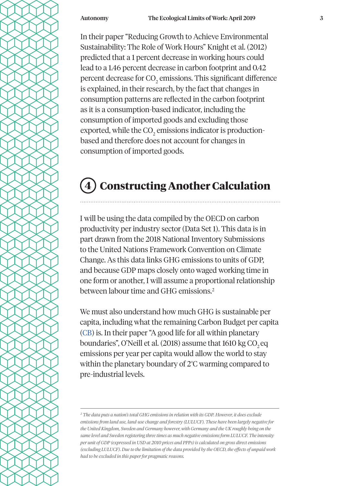In their paper "Reducing Growth to Achieve Environmental Sustainability: The Role of Work Hours" Knight et al. (2012) predicted that a 1 percent decrease in working hours could lead to a 1.46 percent decrease in carbon footprint and 0.42 percent decrease for CO $_2$  emissions. This significant difference is explained, in their research, by the fact that changes in consumption patterns are reflected in the carbon footprint as it is a consumption-based indicator, including the consumption of imported goods and excluding those exported, while the CO $_2$  emissions indicator is productionbased and therefore does not account for changes in consumption of imported goods.

## **4 Constructing Another Calculation**

I will be using the data compiled by the OECD on carbon productivity per industry sector (Data Set 1). This data is in part drawn from the 2018 National Inventory Submissions to the United Nations Framework Convention on Climate Change. As this data links GHG emissions to units of GDP, and because GDP maps closely onto waged working time in one form or another, I will assume a proportional relationship between labour time and GHG emissions.2

We must also understand how much GHG is sustainable per capita, including what the remaining Carbon Budget per capita (CB) is. In their paper "A good life for all within planetary boundaries", O'Neill et al. (2018) assume that 1610 kg CO<sub>2</sub> eq emissions per year per capita would allow the world to stay within the planetary boundary of 2°C warming compared to pre-industrial levels.

*<sup>2</sup> The data puts a nation's total GHG emissions in relation with its GDP. However, it does exclude emissions from land use, land-use change and forestry (LULUCF). These have been largely negative for the United Kingdom, Sweden and Germany however, with Germany and the UK roughly being on the same level and Sweden registering three times as much negative emissions form LULUCF. The intensity per unit of GDP (expressed in USD at 2010 prices and PPPs) is calculated on gross direct emissions (excluding LULUCF). Due to the limitation of the data provided by the OECD, the effects of unpaid work had to be excluded in this paper for pragmatic reasons.*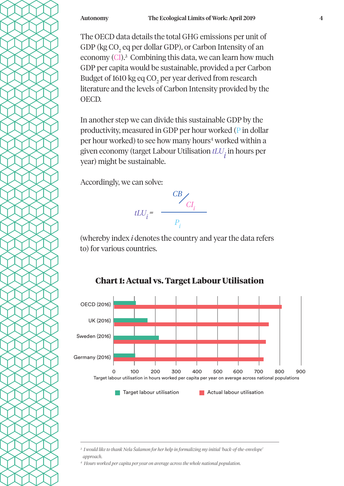The OECD data details the total GHG emissions per unit of GDP ( $\text{kg CO}_2$  eq per dollar GDP), or Carbon Intensity of an economy (CI).<sup>3</sup> Combining this data, we can learn how much GDP per capita would be sustainable, provided a per Carbon Budget of 1610 kg eq CO<sub>2</sub> per year derived from research literature and the levels of Carbon Intensity provided by the OECD.

In another step we can divide this sustainable GDP by the productivity, measured in GDP per hour worked (P in dollar per hour worked) to see how many hours<sup>4</sup> worked within a given economy (target Labour Utilisation *tLU<sub>i</sub>* in hours per year) might be sustainable.

Accordingly, we can solve:



(whereby index *i* denotes the country and year the data refers to) for various countries.



### **Chart 1: Actual vs. Target Labour Utilisation**

*3 I would like to thank Nela Šalamon for her help in formalizing my initial 'back-of-the-envelope' approach.* 

*4 Hours worked per capita per year on average across the whole national population.*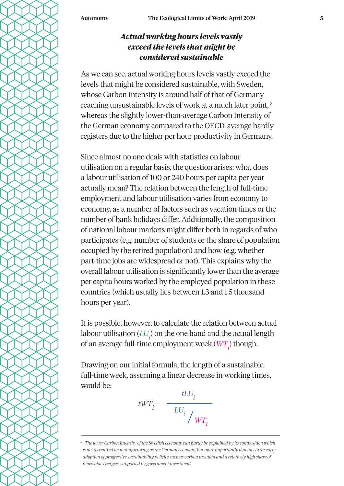### *Actual working hours levels vastly exceed the levels that might be considered sustainable*

As we can see, actual working hours levels vastly exceed the levels that might be considered sustainable, with Sweden, whose Carbon Intensity is around half of that of Germany reaching unsustainable levels of work at a much later point, 5 whereas the slightly lower-than-average Carbon Intensity of the German economy compared to the OECD-average hardly registers due to the higher per hour productivity in Germany.

Since almost no one deals with statistics on labour utilisation on a regular basis, the question arises: what does a labour utilisation of 100 or 240 hours per capita per year actually mean? The relation between the length of full-time employment and labour utilisation varies from economy to economy, as a number of factors such as vacation times or the number of bank holidays differ. Additionally, the composition of national labour markets might differ both in regards of who participates (e.g. number of students or the share of population occupied by the retired population) and how (e.g. whether part-time jobs are widespread or not). This explains why the overall labour utilisation is significantly lower than the average per capita hours worked by the employed population in these countries (which usually lies between 1.3 and 1.5 thousand hours per year).

It is possible, however, to calculate the relation between actual labour utilisation  $\left( LU_{\vec{t}}\right)$  on the one hand and the actual length of an average full-time employment week  $(W T_{\vec{i}})$  though.

Drawing on our initial formula, the length of a sustainable full-time week, assuming a linear decrease in working times, would be:

*LUi WTi*  $tWT_i =$  $tLU_i$ 

*<sup>5</sup> The lower Carbon Intensity of the Swedish economy can partly be explained by its composition which is not as centred on manufacturing as the German economy, but more importantly it points to an early adoption of progressive sustainability policies such as carbon taxation and a relatively high share of renewable energies, supported by government investment.*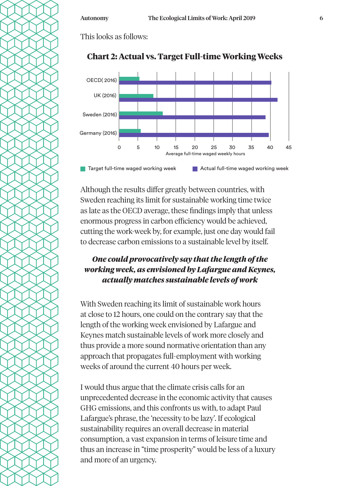This looks as follows:



### **Chart 2: Actual vs. Target Full-time Working Weeks**

Although the results differ greatly between countries, with Sweden reaching its limit for sustainable working time twice as late as the OECD average, these findings imply that unless enormous progress in carbon efficiency would be achieved, cutting the work-week by, for example, just one day would fail to decrease carbon emissions to a sustainable level by itself.

### *One could provocatively say that the length of the working week, as envisioned by Lafargue and Keynes, actually matches sustainable levels of work*

With Sweden reaching its limit of sustainable work hours at close to 12 hours, one could on the contrary say that the length of the working week envisioned by Lafargue and Keynes match sustainable levels of work more closely and thus provide a more sound normative orientation than any approach that propagates full-employment with working weeks of around the current 40 hours per week.

I would thus argue that the climate crisis calls for an unprecedented decrease in the economic activity that causes GHG emissions, and this confronts us with, to adapt Paul Lafargue's phrase, the 'necessity to be lazy'. If ecological sustainability requires an overall decrease in material consumption, a vast expansion in terms of leisure time and thus an increase in "time prosperity" would be less of a luxury and more of an urgency.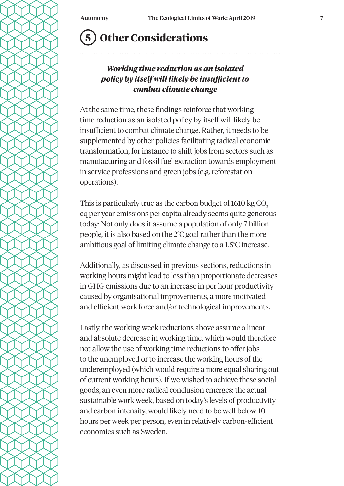# **5 Other Considerations**

### *Working time reduction as an isolated policy by itself will likely be insufficient to combat climate change*

At the same time, these findings reinforce that working time reduction as an isolated policy by itself will likely be insufficient to combat climate change. Rather, it needs to be supplemented by other policies facilitating radical economic transformation, for instance to shift jobs from sectors such as manufacturing and fossil fuel extraction towards employment in service professions and green jobs (e.g. reforestation operations).

This is particularly true as the carbon budget of 1610 kg CO<sub>2</sub> eq per year emissions per capita already seems quite generous today: Not only does it assume a population of only 7 billion people, it is also based on the 2°C goal rather than the more ambitious goal of limiting climate change to a 1.5°C increase.

Additionally, as discussed in previous sections, reductions in working hours might lead to less than proportionate decreases in GHG emissions due to an increase in per hour productivity caused by organisational improvements, a more motivated and efficient work force and/or technological improvements.

Lastly, the working week reductions above assume a linear and absolute decrease in working time, which would therefore not allow the use of working time reductions to offer jobs to the unemployed or to increase the working hours of the underemployed (which would require a more equal sharing out of current working hours). If we wished to achieve these social goods, an even more radical conclusion emerges: the actual sustainable work week, based on today's levels of productivity and carbon intensity, would likely need to be well below 10 hours per week per person, even in relatively carbon-efficient economies such as Sweden.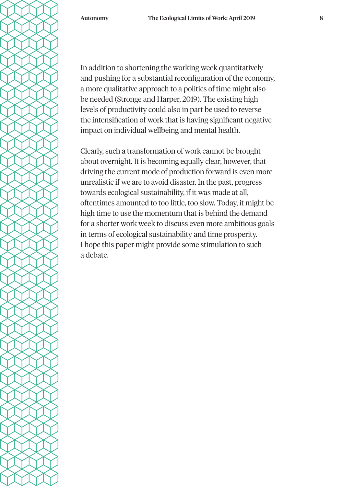In addition to shortening the working week quantitatively and pushing for a substantial reconfiguration of the economy, a more qualitative approach to a politics of time might also be needed (Stronge and Harper, 2019). The existing high levels of productivity could also in part be used to reverse the intensification of work that is having significant negative impact on individual wellbeing and mental health.

Clearly, such a transformation of work cannot be brought about overnight. It is becoming equally clear, however, that driving the current mode of production forward is even more unrealistic if we are to avoid disaster. In the past, progress towards ecological sustainability, if it was made at all, oftentimes amounted to too little, too slow. Today, it might be high time to use the momentum that is behind the demand for a shorter work week to discuss even more ambitious goals in terms of ecological sustainability and time prosperity. I hope this paper might provide some stimulation to such a debate.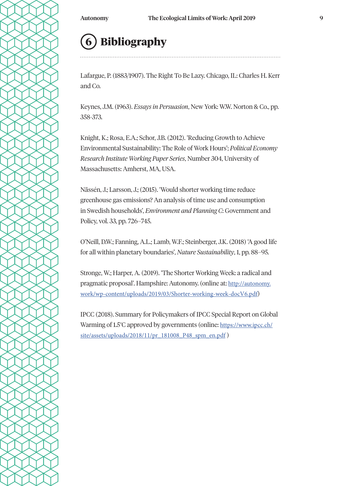# **6 Bibliography**

Lafargue, P. (1883/1907). The Right To Be Lazy. Chicago, IL: Charles H. Kerr and Co.

Keynes, J.M. (1963). *Essays in Persuasion*, New York: W.W. Norton & Co., pp. 358-373.

Knight, K.; Rosa, E.A.; Schor, J.B. (2012). 'Reducing Growth to Achieve Environmental Sustainability: The Role of Work Hours'; *Political Economy Research Institute Working Paper Series*, Number 304, University of Massachusetts: Amherst, MA, USA.

Nässén, J.; Larsson, J.; (2015). 'Would shorter working time reduce greenhouse gas emissions? An analysis of time use and consumption in Swedish households', *Environment and Planning C*: Government and Policy, vol. 33, pp. 726–745.

O'Neill, D.W.; Fanning, A.L.; Lamb, W.F.; Steinberger, J.K. (2018) 'A good life for all within planetary boundaries', *Nature Sustainability*, 1, pp. 88–95.

Stronge, W.; Harper, A. (2019). 'The Shorter Working Week: a radical and pragmatic proposal'. Hampshire: Autonomy. (online at: http://autonomy. work/wp-content/uploads/2019/03/Shorter-working-week-docV6.pdf)

IPCC (2018). Summary for Policymakers of IPCC Special Report on Global Warming of 1.5°C approved by governments (online: https://www.ipcc.ch/ site/assets/uploads/2018/11/pr\_181008\_P48\_spm\_en.pdf)